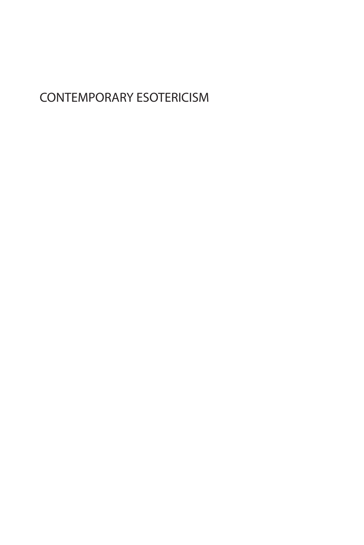## CONTEMPORARY ESOTERICISM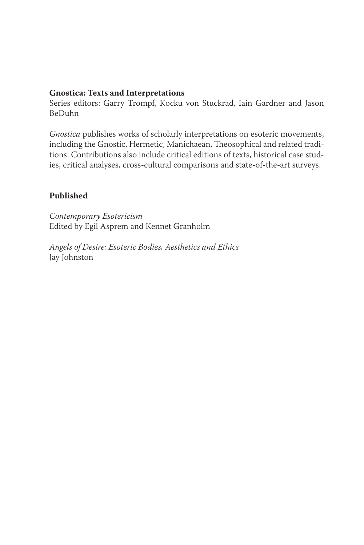### **Gnostica: Texts and Interpretations**

Series editors: Garry Trompf, Kocku von Stuckrad, Iain Gardner and Jason BeDuhn

*Gnostica* publishes works of scholarly interpretations on esoteric movements, including the Gnostic, Hermetic, Manichaean, Theosophical and related traditions. Contributions also include critical editions of texts, historical case studies, critical analyses, cross-cultural comparisons and state-of-the-art surveys.

### **Published**

*Contemporary Esotericism* Edited by Egil Asprem and Kennet Granholm

*Angels of Desire: Esoteric Bodies, Aesthetics and Ethics* Jay Johnston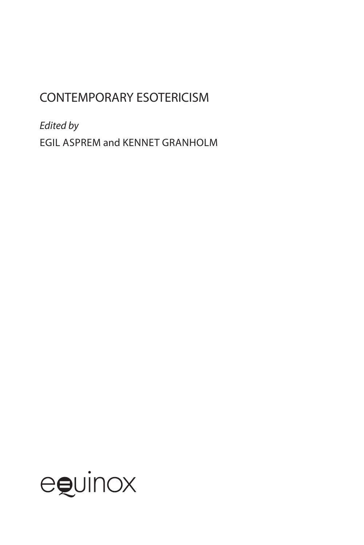# CONTEMPORARY ESOTERICISM

*Edited by* Egil Asprem and Kennet Granholm

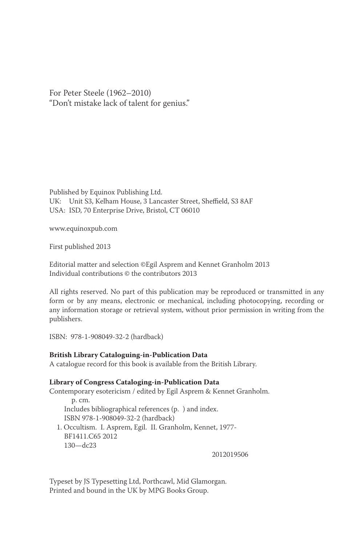For Peter Steele (1962–2010) "Don't mistake lack of talent for genius."

Published by Equinox Publishing Ltd. UK: Unit S3, Kelham House, 3 Lancaster Street, Sheffield, S3 8AF USA: ISD, 70 Enterprise Drive, Bristol, CT 06010

www.equinoxpub.com

First published 2013

Editorial matter and selection ©Egil Asprem and Kennet Granholm 2013 Individual contributions © the contributors 2013

All rights reserved. No part of this publication may be reproduced or transmitted in any form or by any means, electronic or mechanical, including photocopying, recording or any information storage or retrieval system, without prior permission in writing from the publishers.

ISBN: 978-1-908049-32-2 (hardback)

#### **British Library Cataloguing-in-Publication Data**

A catalogue record for this book is available from the British Library.

#### **Library of Congress Cataloging-in-Publication Data**

Contemporary esotericism / edited by Egil Asprem & Kennet Granholm.

 p. cm. Includes bibliographical references (p. ) and index. ISBN 978-1-908049-32-2 (hardback)

1. Occultism. I. Asprem, Egil. II. Granholm, Kennet, 1977- BF1411.C65 2012 130—dc23

2012019506

Typeset by JS Typesetting Ltd, Porthcawl, Mid Glamorgan. Printed and bound in the UK by MPG Books Group.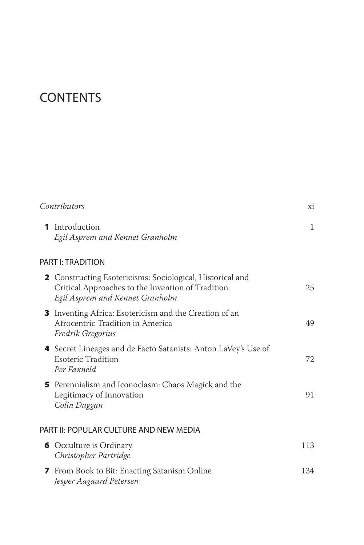# **CONTENTS**

|              | Contributors                                                                                                                                      | хi  |
|--------------|---------------------------------------------------------------------------------------------------------------------------------------------------|-----|
| 1.           | Introduction<br>Egil Asprem and Kennet Granholm                                                                                                   | 1   |
|              | PART I: TRADITION                                                                                                                                 |     |
|              | 2 Constructing Esotericisms: Sociological, Historical and<br>Critical Approaches to the Invention of Tradition<br>Egil Asprem and Kennet Granholm | 25  |
|              | 3 Inventing Africa: Esotericism and the Creation of an<br>Afrocentric Tradition in America<br>Fredrik Gregorius                                   | 49  |
|              | 4 Secret Lineages and de Facto Satanists: Anton LaVey's Use of<br><b>Esoteric Tradition</b><br>Per Faxneld                                        | 72  |
|              | 5 Perennialism and Iconoclasm: Chaos Magick and the<br>Legitimacy of Innovation<br>Colin Duggan                                                   | 91  |
|              | PART II: POPULAR CULTURE AND NEW MEDIA                                                                                                            |     |
|              | <b>6</b> Occulture is Ordinary<br>Christopher Partridge                                                                                           | 113 |
| $\mathbf{z}$ | From Book to Bit: Enacting Satanism Online<br>Jesper Aagaard Petersen                                                                             | 134 |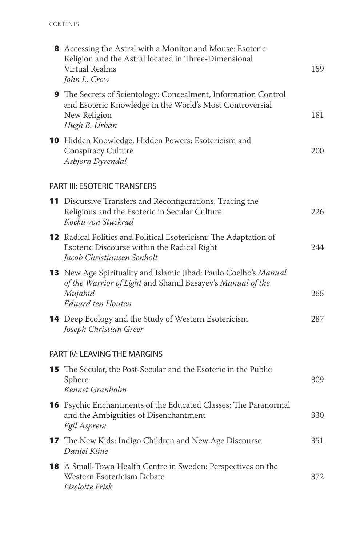| 8 Accessing the Astral with a Monitor and Mouse: Esoteric<br>Religion and the Astral located in Three-Dimensional<br><b>Virtual Realms</b><br>John L. Crow            | 159 |
|-----------------------------------------------------------------------------------------------------------------------------------------------------------------------|-----|
| <b>9</b> The Secrets of Scientology: Concealment, Information Control<br>and Esoteric Knowledge in the World's Most Controversial<br>New Religion<br>Hugh B. Urban    | 181 |
| 10 Hidden Knowledge, Hidden Powers: Esotericism and<br>Conspiracy Culture<br>Asbjørn Dyrendal                                                                         | 200 |
| <b>PART III: ESOTERIC TRANSFERS</b>                                                                                                                                   |     |
| 11 Discursive Transfers and Reconfigurations: Tracing the<br>Religious and the Esoteric in Secular Culture<br>Kocku von Stuckrad                                      | 226 |
| <b>12</b> Radical Politics and Political Esotericism: The Adaptation of<br>Esoteric Discourse within the Radical Right<br>Jacob Christiansen Senholt                  | 244 |
| <b>13</b> New Age Spirituality and Islamic Jihad: Paulo Coelho's Manual<br>of the Warrior of Light and Shamil Basayev's Manual of the<br>Mujahid<br>Eduard ten Houten | 265 |
| <b>14</b> Deep Ecology and the Study of Western Esotericism<br>Joseph Christian Greer                                                                                 | 287 |
| PART IV: LEAVING THE MARGINS                                                                                                                                          |     |
| 15 The Secular, the Post-Secular and the Esoteric in the Public<br>Sphere<br>Kennet Granholm                                                                          | 309 |
| <b>16</b> Psychic Enchantments of the Educated Classes: The Paranormal<br>and the Ambiguities of Disenchantment<br>Egil Asprem                                        | 330 |
| <b>17</b> The New Kids: Indigo Children and New Age Discourse<br>Daniel Kline                                                                                         | 351 |
| 18 A Small-Town Health Centre in Sweden: Perspectives on the<br>Western Esotericism Debate<br>Liselotte Frisk                                                         | 372 |
|                                                                                                                                                                       |     |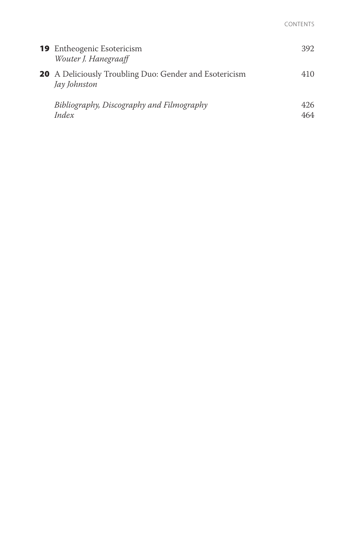| <b>19</b> Entheogenic Esotericism<br>Wouter J. Hanegraaff              | 392.        |
|------------------------------------------------------------------------|-------------|
| 20 A Deliciously Troubling Duo: Gender and Esotericism<br>Jay Johnston | 410         |
| Bibliography, Discography and Filmography<br>Index                     | 426.<br>464 |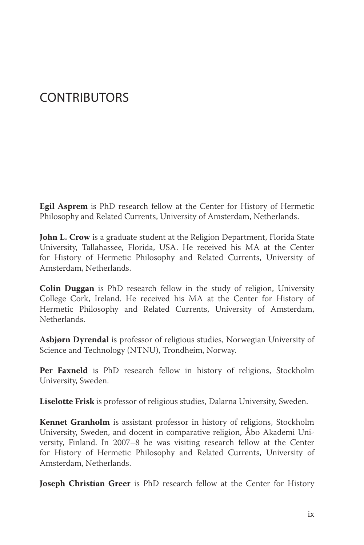## **CONTRIBUTORS**

**Egil Asprem** is PhD research fellow at the Center for History of Hermetic Philosophy and Related Currents, University of Amsterdam, Netherlands.

**John L. Crow** is a graduate student at the Religion Department, Florida State University, Tallahassee, Florida, USA. He received his MA at the Center for History of Hermetic Philosophy and Related Currents, University of Amsterdam, Netherlands.

**Colin Duggan** is PhD research fellow in the study of religion, University College Cork, Ireland. He received his MA at the Center for History of Hermetic Philosophy and Related Currents, University of Amsterdam, Netherlands.

**Asbjørn Dyrendal** is professor of religious studies, Norwegian University of Science and Technology (NTNU), Trondheim, Norway.

**Per Faxneld** is PhD research fellow in history of religions, Stockholm University, Sweden.

**Liselotte Frisk** is professor of religious studies, Dalarna University, Sweden.

**Kennet Granholm** is assistant professor in history of religions, Stockholm University, Sweden, and docent in comparative religion, Åbo Akademi University, Finland. In 2007–8 he was visiting research fellow at the Center for History of Hermetic Philosophy and Related Currents, University of Amsterdam, Netherlands.

**Joseph Christian Greer** is PhD research fellow at the Center for History